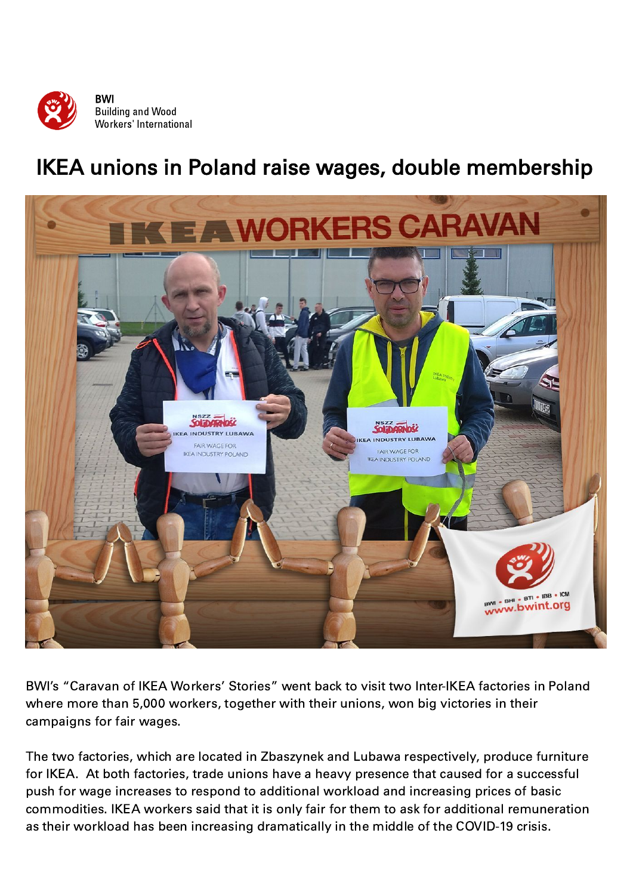

## IKEA unions in Poland raise wages, double membership



BWI's "Caravan of IKEA Workers' Stories" went back to visit two Inter-IKEA factories in Poland where more than 5,000 workers, together with their unions, won big victories in their campaigns for fair wages.

The two factories, which are located in Zbaszynek and Lubawa respectively, produce furniture for IKEA. At both factories, trade unions have a heavy presence that caused for a successful push for wage increases to respond to additional workload and increasing prices of basic commodities. IKEA workers said that it is only fair for them to ask for additional remuneration as their workload has been increasing dramatically in the middle of the COVID-19 crisis.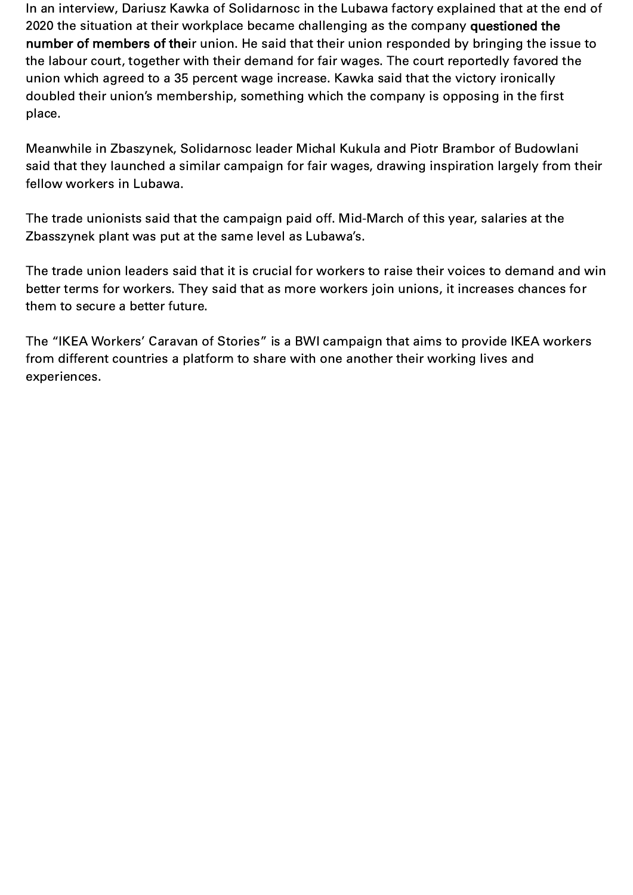In an interview, Dariusz Kawka of Solidarnosc in the Lubawa factory explained that at the end of 2020 the situation at their workplace became challenging as the company questioned the number of members of their union. He said that their union responded by bringing the issue to the labour court, together with their demand for fair wages. The court reportedly favored the union which agreed to a 35 percent wage increase. Kawka said that the victory ironically doubled their union's membership, something which the company is opposing in the first place.

Meanwhile in Zbaszynek, Solidarnosc leader Michal Kukula and Piotr Brambor of Budowlani said that they launched a similar campaign for fair wages, drawing inspiration largely from their fellow workers in Lubawa.

The trade unionists said that the campaign paid off. Mid-March of this year, salaries at the Zbasszynek plant was put at the same level as Lubawa's.

The trade union leaders said that it is crucial for workers to raise their voices to demand and win better terms for workers. They said that as more workers join unions, it increases chances for them to secure a better future.

The "IKEA Workers' Caravan of Stories" is a BWI campaign that aims to provide IKEA workers from different countries a platform to share with one another their working lives and experiences.